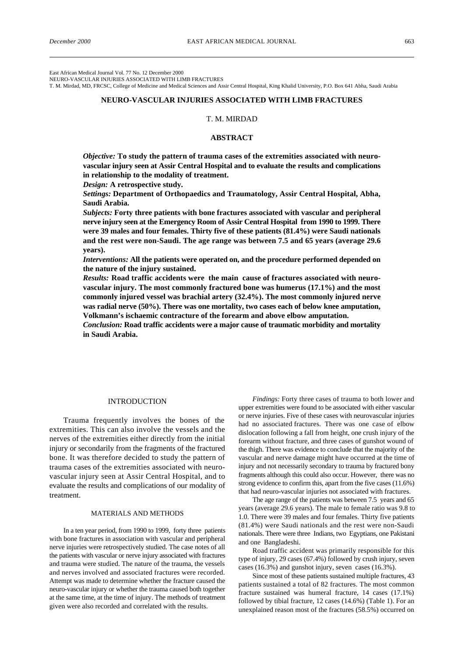East African Medical Journal Vol. 77 No. 12 December 2000

NEURO-VASCULAR INJURIES ASSOCIATED WITH LIMB FRACTURES

T. M. Mirdad, MD, FRCSC, College of Medicine and Medical Sciences and Assir Central Hospital, King Khalid University, P.O. Box 641 Abha, Saudi Arabia

### **NEURO-VASCULAR INJURIES ASSOCIATED WITH LIMB FRACTURES**

# T. M. MIRDAD

## **ABSTRACT**

*Objective:* **To study the pattern of trauma cases of the extremities associated with neurovascular injury seen at Assir Central Hospital and to evaluate the results and complications in relationship to the modality of treatment.**

*Design:* **A retrospective study.**

*Settings:* **Department of Orthopaedics and Traumatology, Assir Central Hospital, Abha, Saudi Arabia.**

*Subjects:* **Forty three patients with bone fractures associated with vascular and peripheral nerve injury seen at the Emergency Room of Assir Central Hospital from 1990 to 1999. There were 39 males and four females. Thirty five of these patients (81.4%) were Saudi nationals and the rest were non-Saudi. The age range was between 7.5 and 65 years (average 29.6 years).**

*Interventions:* **All the patients were operated on, and the procedure performed depended on the nature of the injury sustained.**

*Results:* **Road traffic accidents were the main cause of fractures associated with neurovascular injury. The most commonly fractured bone was humerus (17.1%) and the most commonly injured vessel was brachial artery (32.4%). The most commonly injured nerve was radial nerve (50%). There was one mortality, two cases each of below knee amputation, Volkmann's ischaemic contracture of the forearm and above elbow amputation.**

*Conclusion:* **Road traffic accidents were a major cause of traumatic morbidity and mortality in Saudi Arabia.**

## INTRODUCTION

Trauma frequently involves the bones of the extremities. This can also involve the vessels and the nerves of the extremities either directly from the initial injury or secondarily from the fragments of the fractured bone. It was therefore decided to study the pattern of trauma cases of the extremities associated with neurovascular injury seen at Assir Central Hospital, and to evaluate the results and complications of our modality of treatment.

### MATERIALS AND METHODS

In a ten year period, from 1990 to 1999, forty three patients with bone fractures in association with vascular and peripheral nerve injuries were retrospectively studied. The case notes of all the patients with vascular or nerve injury associated with fractures and trauma were studied. The nature of the trauma, the vessels and nerves involved and associated fractures were recorded. Attempt was made to determine whether the fracture caused the neuro-vascular injury or whether the trauma caused both together at the same time, at the time of injury. The methods of treatment given were also recorded and correlated with the results.

*Findings:* Forty three cases of trauma to both lower and upper extremities were found to be associated with either vascular or nerve injuries. Five of these cases with neurovascular injuries had no associated fractures. There was one case of elbow dislocation following a fall from height, one crush injury of the forearm without fracture, and three cases of gunshot wound of the thigh. There was evidence to conclude that the majority of the vascular and nerve damage might have occurred at the time of injury and not necessarily secondary to trauma by fractured bony fragments although this could also occur. However, there was no strong evidence to confirm this, apart from the five cases (11.6%) that had neuro-vascular injuries not associated with fractures.

The age range of the patients was between 7.5 years and 65 years (average 29.6 years). The male to female ratio was 9.8 to 1.0. There were 39 males and four females. Thirty five patients (81.4%) were Saudi nationals and the rest were non-Saudi nationals. There were three Indians, two Egyptians, one Pakistani and one Bangladeshi.

Road traffic accident was primarily responsible for this type of injury, 29 cases (67.4%) followed by crush injury, seven cases (16.3%) and gunshot injury, seven cases (16.3%).

Since most of these patients sustained multiple fractures, 43 patients sustained a total of 82 fractures. The most common fracture sustained was humeral fracture, 14 cases (17.1%) followed by tibial fracture, 12 cases (14.6%) (Table 1). For an unexplained reason most of the fractures (58.5%) occurred on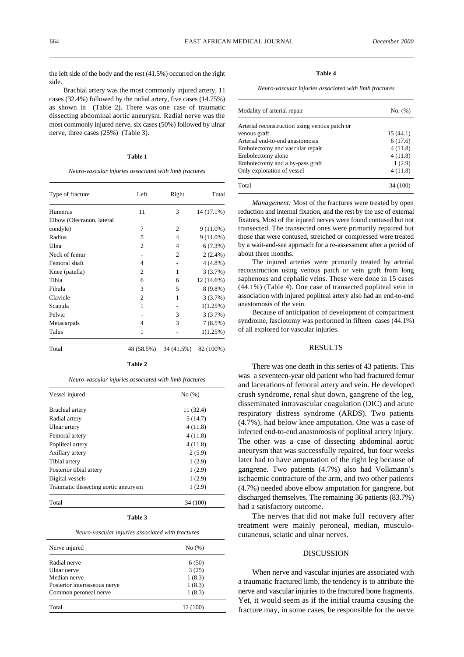the left side of the body and the rest (41.5%) occurred on the right side.

Brachial artery was the most commonly injured artery, 11 cases (32.4%) followed by the radial artery, five cases (14.75%) as shown in (Table 2). There was one case of traumatic dissecting abdominal aortic aneurysm. Radial nerve was the most commonly injured nerve, six cases (50%) followed by ulnar nerve, three cases (25%) (Table 3).

### **Table 1**

*Neuro-vascular injuries associated with limb fractures*

| Type of fracture          | Left           | Right          | Total       |
|---------------------------|----------------|----------------|-------------|
| Humerus                   | 11             | 3              | 14 (17.1%)  |
| Elbow (Olecranon, lateral |                |                |             |
| condyle)                  | 7              | $\overline{c}$ | $9(11.0\%)$ |
| Radius                    | 5              | 4              | $9(11.0\%)$ |
| Ulna                      | $\overline{c}$ | 4              | $6(7.3\%)$  |
| Neck of femur             |                | 2              | $2(2.4\%)$  |
| Femoral shaft             | 4              |                | $4(4.8\%)$  |
| Knee (patella)            | $\overline{c}$ | 1              | 3(3.7%)     |
| Tibia                     | 6              | 6              | 12 (14.6%)  |
| Fibula                    | 3              | 5              | $8(9.8\%)$  |
| Clavicle                  | 2              | 1              | 3(3.7%)     |
| Scapula                   | 1              |                | $1(1.25\%)$ |
| Pelvic                    |                | 3              | 3(37%)      |
| Metacarpals               | 4              | 3              | $7(8.5\%)$  |
| Talus                     | 1              |                | 1(1.25%)    |
| Total                     | 48 (58.5%)     | 34 (41.5%)     | 82 (100%)   |

#### **Table 2**

*Neuro-vascular injuries associated with limb fractures*

| Vessel injured                       | No(%)    |  |
|--------------------------------------|----------|--|
| <b>Brachial</b> artery               | 11(32.4) |  |
| Radial artery                        | 5(14.7)  |  |
| Ulnar artery                         | 4(11.8)  |  |
| Femoral artery                       | 4(11.8)  |  |
| Popliteal artery                     | 4(11.8)  |  |
| Axillary artery                      | 2(5.9)   |  |
| Tibial artery                        | 1(2.9)   |  |
| Posterior tibial artery              | 1(2.9)   |  |
| Digital vessels                      | 1(2.9)   |  |
| Traumatic dissecting aortic aneurysm | 1(2.9)   |  |
| Total                                | 34 (100) |  |

#### **Table 3**

*Neuro-vascular injuries associated with fractures*

| No(%)    |  |
|----------|--|
| 6(50)    |  |
| 3(25)    |  |
| 1(8.3)   |  |
| 1(8.3)   |  |
| 1(8.3)   |  |
| 12 (100) |  |
|          |  |

### **Table 4**

*Neuro-vascular injuries associated with limb fractures*

| Modality of arterial repair                   | No. (%)  |
|-----------------------------------------------|----------|
| Arterial reconstruction using venous patch or |          |
| venous graft                                  | 15(44.1) |
| Arterial end-to-end anastomosis               | 6(17.6)  |
| Embolectomy and vascular repair               | 4(11.8)  |
| Embolectomy alone                             | 4(11.8)  |
| Embolectomy and a by-pass graft               | 1(2.9)   |
| Only exploration of vessel                    | 4(11.8)  |
| Total                                         | 34 (100) |

*Management:* Most of the fractures were treated by open reduction and internal fixation, and the rest by the use of external fixators. Most of the injured nerves were found contused but not transected. The transected ones were primarily repaired but those that were contused, stretched or compressed were treated by a wait-and-see approach for a re-assessment after a period of about three months.

The injured arteries were primarily treated by arterial reconstruction using venous patch or vein graft from long saphenous and cephalic veins. These were done in 15 cases (44.1%) (Table 4). One case of transected popliteal vein in association with injured popliteal artery also had an end-to-end anastomosis of the vein.

Because of anticipation of development of compartment syndrome, fasciotomy was performed in fifteen cases (44.1%) of all explored for vascular injuries.

### RESULTS

There was one death in this series of 43 patients. This was a seventeen-year old patient who had fractured femur and lacerations of femoral artery and vein. He developed crush syndrome, renal shut down, gangrene of the leg, disseminated intravascular coagulation (DIC) and acute respiratory distress syndrome (ARDS). Two patients (4.7%), had below knee amputation. One was a case of infected end-to-end anastomosis of popliteal artery injury. The other was a case of dissecting abdominal aortic aneurysm that was successfully repaired, but four weeks later had to have amputation of the right leg because of gangrene. Two patients (4.7%) also had Volkmann's ischaemic contracture of the arm, and two other patients (4.7%) needed above elbow amputation for gangrene, but discharged themselves. The remaining 36 patients (83.7%) had a satisfactory outcome.

The nerves that did not make full recovery after treatment were mainly peroneal, median, musculocutaneous, sciatic and ulnar nerves.

### DISCUSSION

When nerve and vascular injuries are associated with a traumatic fractured limb, the tendency is to attribute the nerve and vascular injuries to the fractured bone fragments. Yet, it would seem as if the initial trauma causing the fracture may, in some cases, be responsible for the nerve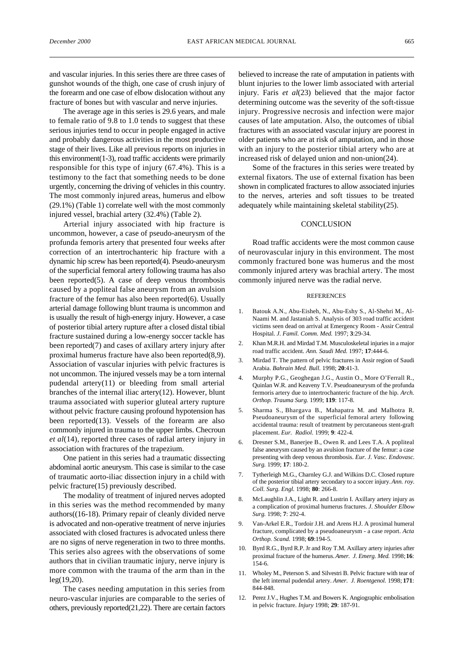and vascular injuries. In this series there are three cases of gunshot wounds of the thigh, one case of crush injury of the forearm and one case of elbow dislocation without any fracture of bones but with vascular and nerve injuries.

The average age in this series is 29.6 years, and male to female ratio of 9.8 to 1.0 tends to suggest that these serious injuries tend to occur in people engaged in active and probably dangerous activities in the most productive stage of their lives. Like all previous reports on injuries in this environment(1-3), road traffic accidents were primarily responsible for this type of injury (67.4%). This is a testimony to the fact that something needs to be done urgently, concerning the driving of vehicles in this country. The most commonly injured areas, humerus and elbow (29.1%) (Table 1) correlate well with the most commonly injured vessel, brachial artery (32.4%) (Table 2).

Arterial injury associated with hip fracture is uncommon, however, a case of pseudo-aneurysm of the profunda femoris artery that presented four weeks after correction of an intertrochanteric hip fracture with a dynamic hip screw has been reported(4). Pseudo-aneurysm of the superficial femoral artery following trauma has also been reported(5). A case of deep venous thrombosis caused by a popliteal false aneurysm from an avulsion fracture of the femur has also been reported(6). Usually arterial damage following blunt trauma is uncommon and is usually the result of high-energy injury. However, a case of posterior tibial artery rupture after a closed distal tibial fracture sustained during a low-energy soccer tackle has been reported(7) and cases of axillary artery injury after proximal humerus fracture have also been reported(8,9). Association of vascular injuries with pelvic fractures is not uncommon. The injured vessels may be a torn internal pudendal artery(11) or bleeding from small arterial branches of the internal iliac artery(12). However, blunt trauma associated with superior gluteal artery rupture without pelvic fracture causing profound hypotension has been reported(13). Vessels of the forearm are also commonly injured in trauma to the upper limbs. Checroun *et al*(14), reported three cases of radial artery injury in association with fractures of the trapezium.

One patient in this series had a traumatic dissecting abdominal aortic aneurysm. This case is similar to the case of traumatic aorto-iliac dissection injury in a child with pelvic fracture(15) previously described.

The modality of treatment of injured nerves adopted in this series was the method recommended by many authors((16-18). Primary repair of cleanly divided nerve is advocated and non-operative treatment of nerve injuries associated with closed fractures is advocated unless there are no signs of nerve regeneration in two to three months. This series also agrees with the observations of some authors that in civilian traumatic injury, nerve injury is more common with the trauma of the arm than in the leg(19,20).

The cases needing amputation in this series from neuro-vascular injuries are comparable to the series of others, previously reported(21,22). There are certain factors believed to increase the rate of amputation in patients with blunt injuries to the lower limb associated with arterial injury. Faris *et al*(23) believed that the major factor determining outcome was the severity of the soft-tissue injury. Progressive necrosis and infection were major causes of late amputation. Also, the outcomes of tibial fractures with an associated vascular injury are poorest in older patients who are at risk of amputation, and in those with an injury to the posterior tibial artery who are at increased risk of delayed union and non-union(24).

Some of the fractures in this series were treated by external fixators. The use of external fixation has been shown in complicated fractures to allow associated injuries to the nerves, arteries and soft tissues to be treated adequately while maintaining skeletal stability(25).

# **CONCLUSION**

Road traffic accidents were the most common cause of neurovascular injury in this environment. The most commonly fractured bone was humerus and the most commonly injured artery was brachial artery. The most commonly injured nerve was the radial nerve.

## **REFERENCES**

- 1. Batouk A.N., Abu-Eisheh, N., Abu-Eshy S., Al-Shehri M., Al-Naami M. and Jastaniah S. Analysis of 303 road traffic accident victims seen dead on arrival at Emergency Room - Assir Central Hospital. *J. Famil. Comm. Med.* 1997; **3**:29-34.
- 2. Khan M.R.H. and Mirdad T.M. Musculoskeletal injuries in a major road traffic accident. *Ann. Saudi Med.* 1997; **17**:444-6.
- 3. Mirdad T. The pattern of pelvic fractures in Assir region of Saudi Arabia. *Bahrain Med. Bull.* 1998; **20**:41-3.
- 4. Murphy P.G., Geoghegan J.G., Austin O., More O'Ferrall R., Quinlan W.R. and Keaveny T.V. Pseudoaneurysm of the profunda fermoris artery due to intertrochanteric fracture of the hip. *Arch. Orthop. Trauma Surg.* 1999; **119**: 117-8.
- 5. Sharma S., Bhargava B., Mahapatra M. and Malhotra R. Pseudoaneurysm of the superficial femoral artery following accidental trauma: result of treatment by percutaneous stent-graft placement. *Eur. Radiol.* 1999; **9**: 422-4.
- 6. Dresner S.M., Banerjee B., Owen R. and Lees T.A. A popliteal false aneurysm caused by an avulsion fracture of the femur: a case presenting with deep venous thrombosis. *Eur. J. Vasc. Endovasc. Surg.* 1999; **17**: 180-2.
- 7. Tytherleigh M.G., Charnley G.J. and Wilkins D.C. Closed rupture of the posterior tibial artery secondary to a soccer injury. *Ann. roy. Coll. Surg. Engl.* 1998; **80**: 266-8.
- 8. McLaughlin J.A., Light R. and Lustrin I. Axillary artery injury as a complication of proximal humerus fractures. *J. Shoulder Elbow Surg.* 1998; **7**: 292-4.
- 9. Van-Arkel E.R., Tordoir J.H. and Arens H.J. A proximal humeral fracture, complicated by a pseudoaneurysm - a case report. *Acta Orthop. Scand.* 1998; **69**:194-5.
- 10. Byrd R.G., Byrd R.P. Jr and Roy T.M. Axillary artery injuries after proximal fracture of the humerus. *Amer. J. Emerg. Med.* 1998; **16**: 154-6.
- 11. Wholey M., Peterson S. and Silvestri B. Pelvic fracture with tear of the left internal pudendal artery. *Amer. J. Roentgenol.* 1998; **171**: 844-848.
- 12. Perez J.V., Hughes T.M. and Bowers K. Angiographic embolisation in pelvic fracture. *Injury* 1998; **29**: 187-91.